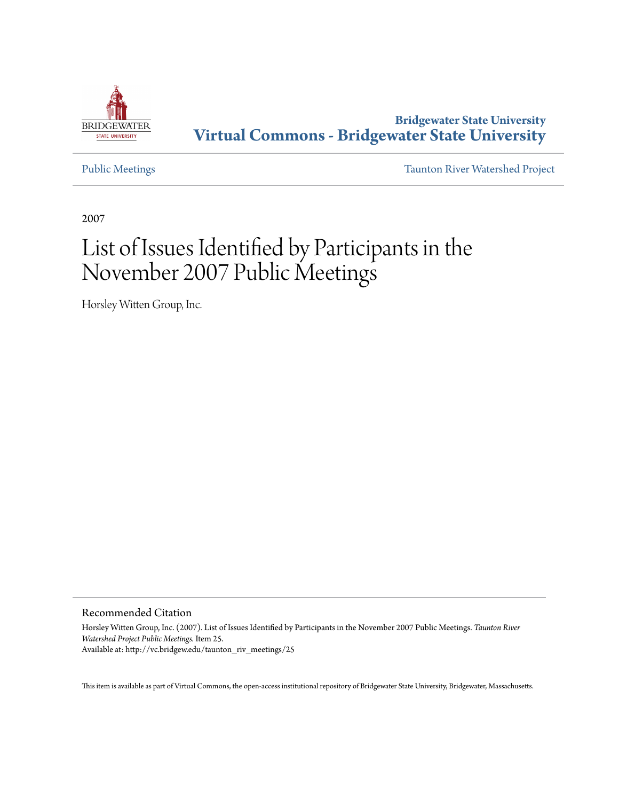

**Bridgewater State University [Virtual Commons - Bridgewater State University](http://vc.bridgew.edu)**

[Public Meetings](http://vc.bridgew.edu/taunton_riv_meetings) [Taunton River Watershed Project](http://vc.bridgew.edu/taunton_riv)

2007

## List of Issues Identified by Participants in the November 2007 Public Meetings

Horsley Witten Group, Inc.

Recommended Citation

Horsley Witten Group, Inc. (2007). List of Issues Identified by Participants in the November 2007 Public Meetings. *Taunton River Watershed Project Public Meetings.* Item 25. Available at: http://vc.bridgew.edu/taunton\_riv\_meetings/25

This item is available as part of Virtual Commons, the open-access institutional repository of Bridgewater State University, Bridgewater, Massachusetts.